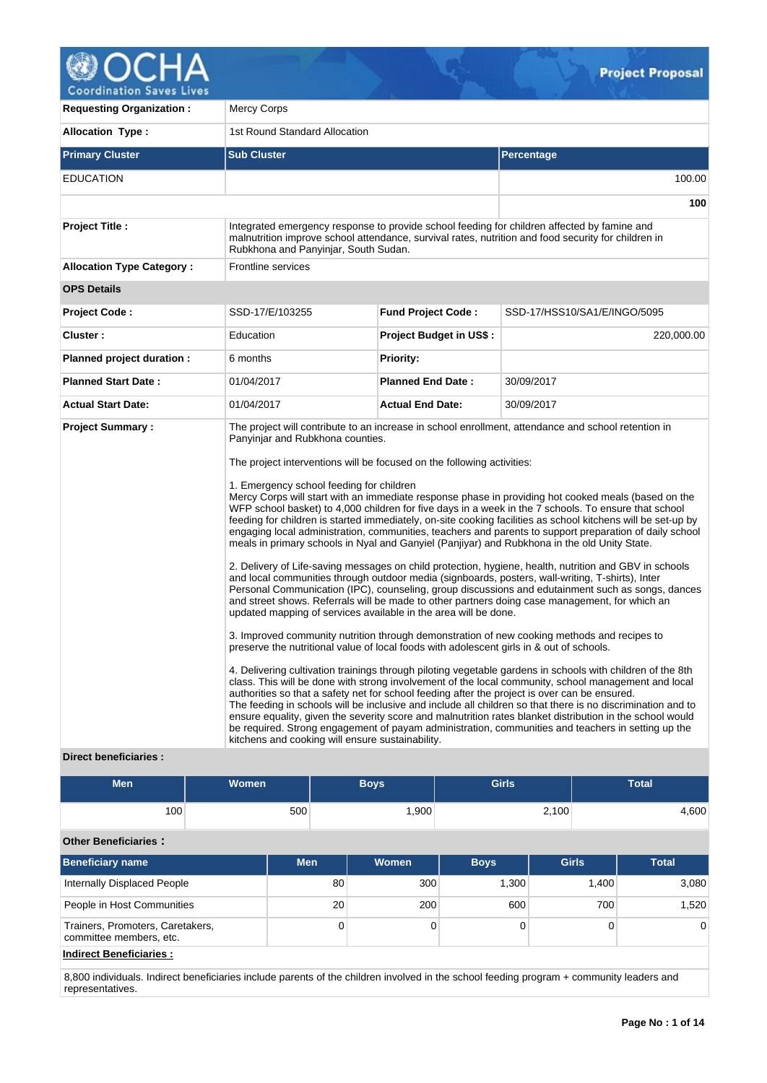

| <b>Requesting Organization:</b>  | <b>Mercy Corps</b>                                                                                                                                                                                                                                                                                                                                                                                                                                                         |                                |                                                                                                                                                                                                                                                                                                                                                                                                                                                                                                                                                                                                                                                                                                                                                                                                                                                                                                                                                                                                                                                                                                                                                                                                                                                                                                                                                                                                                                                                                                                                                                                                                                                                                                                           |  |  |  |
|----------------------------------|----------------------------------------------------------------------------------------------------------------------------------------------------------------------------------------------------------------------------------------------------------------------------------------------------------------------------------------------------------------------------------------------------------------------------------------------------------------------------|--------------------------------|---------------------------------------------------------------------------------------------------------------------------------------------------------------------------------------------------------------------------------------------------------------------------------------------------------------------------------------------------------------------------------------------------------------------------------------------------------------------------------------------------------------------------------------------------------------------------------------------------------------------------------------------------------------------------------------------------------------------------------------------------------------------------------------------------------------------------------------------------------------------------------------------------------------------------------------------------------------------------------------------------------------------------------------------------------------------------------------------------------------------------------------------------------------------------------------------------------------------------------------------------------------------------------------------------------------------------------------------------------------------------------------------------------------------------------------------------------------------------------------------------------------------------------------------------------------------------------------------------------------------------------------------------------------------------------------------------------------------------|--|--|--|
| <b>Allocation Type:</b>          | 1st Round Standard Allocation                                                                                                                                                                                                                                                                                                                                                                                                                                              |                                |                                                                                                                                                                                                                                                                                                                                                                                                                                                                                                                                                                                                                                                                                                                                                                                                                                                                                                                                                                                                                                                                                                                                                                                                                                                                                                                                                                                                                                                                                                                                                                                                                                                                                                                           |  |  |  |
| <b>Primary Cluster</b>           | <b>Sub Cluster</b>                                                                                                                                                                                                                                                                                                                                                                                                                                                         |                                | Percentage                                                                                                                                                                                                                                                                                                                                                                                                                                                                                                                                                                                                                                                                                                                                                                                                                                                                                                                                                                                                                                                                                                                                                                                                                                                                                                                                                                                                                                                                                                                                                                                                                                                                                                                |  |  |  |
| <b>EDUCATION</b>                 |                                                                                                                                                                                                                                                                                                                                                                                                                                                                            |                                | 100.00                                                                                                                                                                                                                                                                                                                                                                                                                                                                                                                                                                                                                                                                                                                                                                                                                                                                                                                                                                                                                                                                                                                                                                                                                                                                                                                                                                                                                                                                                                                                                                                                                                                                                                                    |  |  |  |
|                                  |                                                                                                                                                                                                                                                                                                                                                                                                                                                                            |                                | 100                                                                                                                                                                                                                                                                                                                                                                                                                                                                                                                                                                                                                                                                                                                                                                                                                                                                                                                                                                                                                                                                                                                                                                                                                                                                                                                                                                                                                                                                                                                                                                                                                                                                                                                       |  |  |  |
| <b>Project Title:</b>            | Rubkhona and Panyinjar, South Sudan.                                                                                                                                                                                                                                                                                                                                                                                                                                       |                                | Integrated emergency response to provide school feeding for children affected by famine and<br>malnutrition improve school attendance, survival rates, nutrition and food security for children in                                                                                                                                                                                                                                                                                                                                                                                                                                                                                                                                                                                                                                                                                                                                                                                                                                                                                                                                                                                                                                                                                                                                                                                                                                                                                                                                                                                                                                                                                                                        |  |  |  |
| <b>Allocation Type Category:</b> | Frontline services                                                                                                                                                                                                                                                                                                                                                                                                                                                         |                                |                                                                                                                                                                                                                                                                                                                                                                                                                                                                                                                                                                                                                                                                                                                                                                                                                                                                                                                                                                                                                                                                                                                                                                                                                                                                                                                                                                                                                                                                                                                                                                                                                                                                                                                           |  |  |  |
| <b>OPS Details</b>               |                                                                                                                                                                                                                                                                                                                                                                                                                                                                            |                                |                                                                                                                                                                                                                                                                                                                                                                                                                                                                                                                                                                                                                                                                                                                                                                                                                                                                                                                                                                                                                                                                                                                                                                                                                                                                                                                                                                                                                                                                                                                                                                                                                                                                                                                           |  |  |  |
| <b>Project Code:</b>             | SSD-17/E/103255                                                                                                                                                                                                                                                                                                                                                                                                                                                            | <b>Fund Project Code:</b>      | SSD-17/HSS10/SA1/E/INGO/5095                                                                                                                                                                                                                                                                                                                                                                                                                                                                                                                                                                                                                                                                                                                                                                                                                                                                                                                                                                                                                                                                                                                                                                                                                                                                                                                                                                                                                                                                                                                                                                                                                                                                                              |  |  |  |
| Cluster:                         | Education                                                                                                                                                                                                                                                                                                                                                                                                                                                                  | <b>Project Budget in US\$:</b> | 220,000.00                                                                                                                                                                                                                                                                                                                                                                                                                                                                                                                                                                                                                                                                                                                                                                                                                                                                                                                                                                                                                                                                                                                                                                                                                                                                                                                                                                                                                                                                                                                                                                                                                                                                                                                |  |  |  |
| Planned project duration :       | 6 months                                                                                                                                                                                                                                                                                                                                                                                                                                                                   | <b>Priority:</b>               |                                                                                                                                                                                                                                                                                                                                                                                                                                                                                                                                                                                                                                                                                                                                                                                                                                                                                                                                                                                                                                                                                                                                                                                                                                                                                                                                                                                                                                                                                                                                                                                                                                                                                                                           |  |  |  |
| <b>Planned Start Date:</b>       | 01/04/2017                                                                                                                                                                                                                                                                                                                                                                                                                                                                 | <b>Planned End Date:</b>       | 30/09/2017                                                                                                                                                                                                                                                                                                                                                                                                                                                                                                                                                                                                                                                                                                                                                                                                                                                                                                                                                                                                                                                                                                                                                                                                                                                                                                                                                                                                                                                                                                                                                                                                                                                                                                                |  |  |  |
| <b>Actual Start Date:</b>        | 01/04/2017                                                                                                                                                                                                                                                                                                                                                                                                                                                                 | <b>Actual End Date:</b>        | 30/09/2017                                                                                                                                                                                                                                                                                                                                                                                                                                                                                                                                                                                                                                                                                                                                                                                                                                                                                                                                                                                                                                                                                                                                                                                                                                                                                                                                                                                                                                                                                                                                                                                                                                                                                                                |  |  |  |
| <b>Project Summary:</b>          | Panyinjar and Rubkhona counties.<br>The project interventions will be focused on the following activities:<br>1. Emergency school feeding for children<br>updated mapping of services available in the area will be done.<br>preserve the nutritional value of local foods with adolescent girls in & out of schools.<br>authorities so that a safety net for school feeding after the project is over can be ensured.<br>kitchens and cooking will ensure sustainability. |                                | The project will contribute to an increase in school enrollment, attendance and school retention in<br>Mercy Corps will start with an immediate response phase in providing hot cooked meals (based on the<br>WFP school basket) to 4,000 children for five days in a week in the 7 schools. To ensure that school<br>feeding for children is started immediately, on-site cooking facilities as school kitchens will be set-up by<br>engaging local administration, communities, teachers and parents to support preparation of daily school<br>meals in primary schools in Nyal and Ganyiel (Panjiyar) and Rubkhona in the old Unity State.<br>2. Delivery of Life-saving messages on child protection, hygiene, health, nutrition and GBV in schools<br>and local communities through outdoor media (signboards, posters, wall-writing, T-shirts), Inter<br>Personal Communication (IPC), counseling, group discussions and edutainment such as songs, dances<br>and street shows. Referrals will be made to other partners doing case management, for which an<br>3. Improved community nutrition through demonstration of new cooking methods and recipes to<br>4. Delivering cultivation trainings through piloting vegetable gardens in schools with children of the 8th<br>class. This will be done with strong involvement of the local community, school management and local<br>The feeding in schools will be inclusive and include all children so that there is no discrimination and to<br>ensure equality, given the severity score and malnutrition rates blanket distribution in the school would<br>be required. Strong engagement of payam administration, communities and teachers in setting up the |  |  |  |

# **Direct beneficiaries :**

| Men | Women <sup>1</sup> | <b>Girls</b><br><b>Boys</b> |       | <b>Total</b> |
|-----|--------------------|-----------------------------|-------|--------------|
| 100 | 500                | ,900                        | 2,100 | .600         |

# **Other Beneficiaries :**

| <b>Beneficiary name</b>                                     | <b>Men</b>      | Women | <b>Boys</b> | <b>Girls</b> | <b>Total</b>   |
|-------------------------------------------------------------|-----------------|-------|-------------|--------------|----------------|
| Internally Displaced People                                 | 80              | 300   | 1,300       | 1,400        | 3,080          |
| People in Host Communities                                  | 20 <sup>1</sup> | 200   | 600         | 700          | 1,520          |
| Trainers, Promoters, Caretakers,<br>committee members, etc. | 0               |       |             |              | $\overline{0}$ |
| <b>Indirect Beneficiaries:</b>                              |                 |       |             |              |                |

8,800 individuals. Indirect beneficiaries include parents of the children involved in the school feeding program + community leaders and representatives.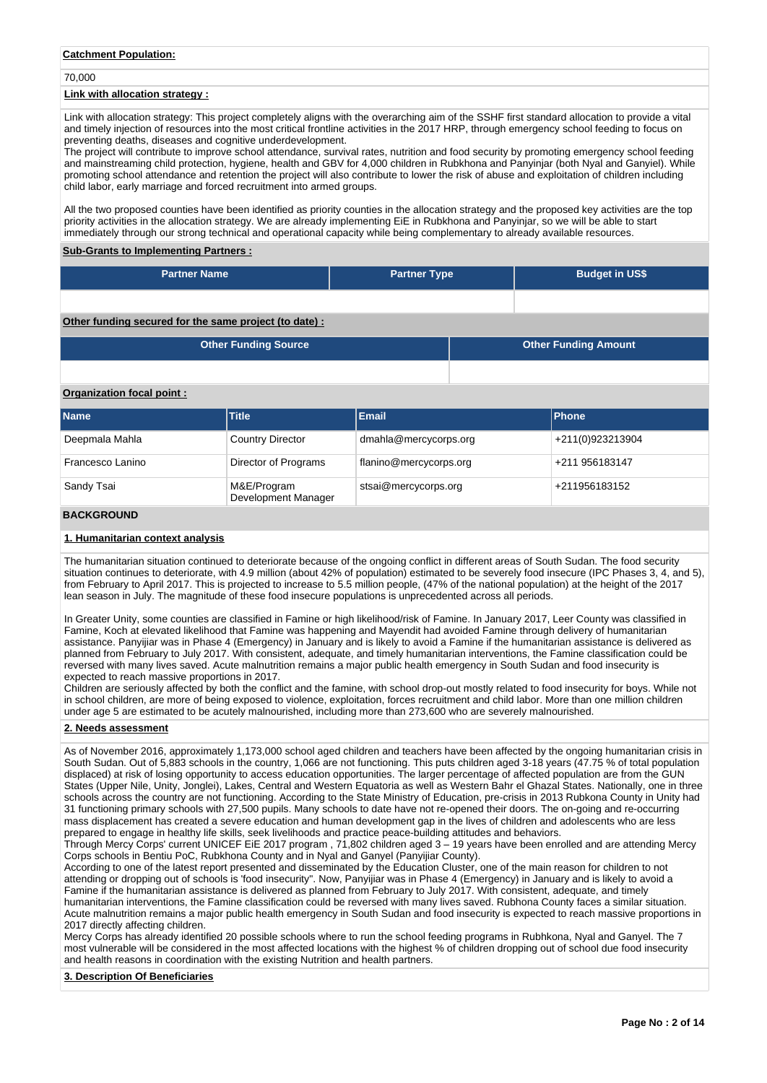### **Catchment Population:**

70,000

### **Link with allocation strategy :**

Link with allocation strategy: This project completely aligns with the overarching aim of the SSHF first standard allocation to provide a vital and timely injection of resources into the most critical frontline activities in the 2017 HRP, through emergency school feeding to focus on preventing deaths, diseases and cognitive underdevelopment.

The project will contribute to improve school attendance, survival rates, nutrition and food security by promoting emergency school feeding and mainstreaming child protection, hygiene, health and GBV for 4,000 children in Rubkhona and Panyinjar (both Nyal and Ganyiel). While promoting school attendance and retention the project will also contribute to lower the risk of abuse and exploitation of children including child labor, early marriage and forced recruitment into armed groups.

All the two proposed counties have been identified as priority counties in the allocation strategy and the proposed key activities are the top priority activities in the allocation strategy. We are already implementing EiE in Rubkhona and Panyinjar, so we will be able to start immediately through our strong technical and operational capacity while being complementary to already available resources.

#### **Sub-Grants to Implementing Partners :**

| <b>Partner Name</b>                                   | <b>Partner Type</b> | <b>Budget in US\$</b> |
|-------------------------------------------------------|---------------------|-----------------------|
|                                                       |                     |                       |
| Other funding secured for the same project (to date): |                     |                       |

| <b>Other Funding Source</b> | <b>Other Funding Amount</b> |
|-----------------------------|-----------------------------|
|                             |                             |

### **Organization focal point :**

| <b>Name</b>      | <b>Title</b>                       | <b>Email</b>           | <b>IPhone</b>    |
|------------------|------------------------------------|------------------------|------------------|
| Deepmala Mahla   | <b>Country Director</b>            | dmahla@mercycorps.org  | +211(0)923213904 |
| Francesco Lanino | Director of Programs               | flanino@mercycorps.org | +211 956183147   |
| Sandy Tsai       | M&E/Program<br>Development Manager | stsai@mercycorps.org   | +211956183152    |

#### **BACKGROUND**

### **1. Humanitarian context analysis**

The humanitarian situation continued to deteriorate because of the ongoing conflict in different areas of South Sudan. The food security situation continues to deteriorate, with 4.9 million (about 42% of population) estimated to be severely food insecure (IPC Phases 3, 4, and 5), from February to April 2017. This is projected to increase to 5.5 million people, (47% of the national population) at the height of the 2017 lean season in July. The magnitude of these food insecure populations is unprecedented across all periods.

In Greater Unity, some counties are classified in Famine or high likelihood/risk of Famine. In January 2017, Leer County was classified in Famine, Koch at elevated likelihood that Famine was happening and Mayendit had avoided Famine through delivery of humanitarian assistance. Panyijiar was in Phase 4 (Emergency) in January and is likely to avoid a Famine if the humanitarian assistance is delivered as planned from February to July 2017. With consistent, adequate, and timely humanitarian interventions, the Famine classification could be reversed with many lives saved. Acute malnutrition remains a major public health emergency in South Sudan and food insecurity is expected to reach massive proportions in 2017.

Children are seriously affected by both the conflict and the famine, with school drop-out mostly related to food insecurity for boys. While not in school children, are more of being exposed to violence, exploitation, forces recruitment and child labor. More than one million children under age 5 are estimated to be acutely malnourished, including more than 273,600 who are severely malnourished.

#### **2. Needs assessment**

As of November 2016, approximately 1,173,000 school aged children and teachers have been affected by the ongoing humanitarian crisis in South Sudan. Out of 5,883 schools in the country, 1,066 are not functioning. This puts children aged 3-18 years (47.75 % of total population displaced) at risk of losing opportunity to access education opportunities. The larger percentage of affected population are from the GUN States (Upper Nile, Unity, Jonglei), Lakes, Central and Western Equatoria as well as Western Bahr el Ghazal States. Nationally, one in three schools across the country are not functioning. According to the State Ministry of Education, pre-crisis in 2013 Rubkona County in Unity had 31 functioning primary schools with 27,500 pupils. Many schools to date have not re-opened their doors. The on-going and re-occurring mass displacement has created a severe education and human development gap in the lives of children and adolescents who are less prepared to engage in healthy life skills, seek livelihoods and practice peace-building attitudes and behaviors.

Through Mercy Corps' current UNICEF EiE 2017 program , 71,802 children aged 3 – 19 years have been enrolled and are attending Mercy Corps schools in Bentiu PoC, Rubkhona County and in Nyal and Ganyel (Panyijiar County).

According to one of the latest report presented and disseminated by the Education Cluster, one of the main reason for children to not attending or dropping out of schools is 'food insecurity". Now, Panyijiar was in Phase 4 (Emergency) in January and is likely to avoid a Famine if the humanitarian assistance is delivered as planned from February to July 2017. With consistent, adequate, and timely humanitarian interventions, the Famine classification could be reversed with many lives saved. Rubhona County faces a similar situation. Acute malnutrition remains a major public health emergency in South Sudan and food insecurity is expected to reach massive proportions in 2017 directly affecting children.

Mercy Corps has already identified 20 possible schools where to run the school feeding programs in Rubhkona, Nyal and Ganyel. The 7 most vulnerable will be considered in the most affected locations with the highest % of children dropping out of school due food insecurity and health reasons in coordination with the existing Nutrition and health partners.

### **3. Description Of Beneficiaries**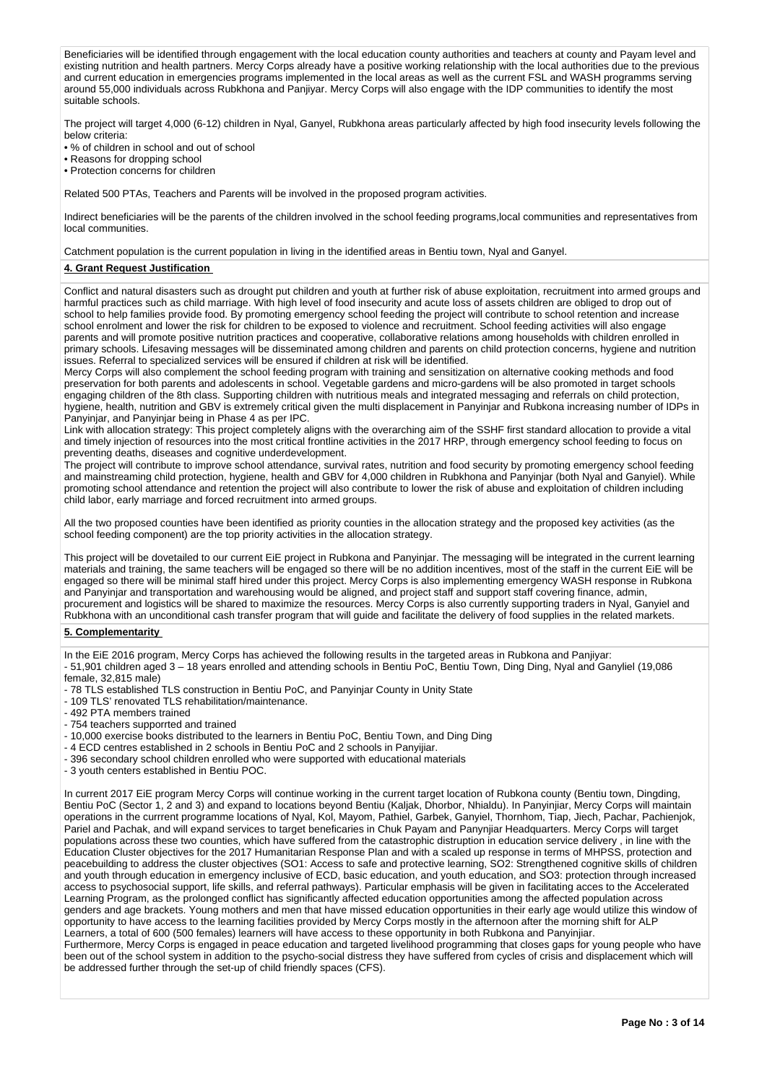Beneficiaries will be identified through engagement with the local education county authorities and teachers at county and Payam level and existing nutrition and health partners. Mercy Corps already have a positive working relationship with the local authorities due to the previous and current education in emergencies programs implemented in the local areas as well as the current FSL and WASH programms serving around 55,000 individuals across Rubkhona and Panjiyar. Mercy Corps will also engage with the IDP communities to identify the most suitable schools.

The project will target 4,000 (6-12) children in Nyal, Ganyel, Rubkhona areas particularly affected by high food insecurity levels following the below criteria:

• % of children in school and out of school

• Reasons for dropping school

• Protection concerns for children

Related 500 PTAs, Teachers and Parents will be involved in the proposed program activities.

Indirect beneficiaries will be the parents of the children involved in the school feeding programs,local communities and representatives from local communities.

Catchment population is the current population in living in the identified areas in Bentiu town, Nyal and Ganyel.

### **4. Grant Request Justification**

Conflict and natural disasters such as drought put children and youth at further risk of abuse exploitation, recruitment into armed groups and harmful practices such as child marriage. With high level of food insecurity and acute loss of assets children are obliged to drop out of school to help families provide food. By promoting emergency school feeding the project will contribute to school retention and increase school enrolment and lower the risk for children to be exposed to violence and recruitment. School feeding activities will also engage parents and will promote positive nutrition practices and cooperative, collaborative relations among households with children enrolled in primary schools. Lifesaving messages will be disseminated among children and parents on child protection concerns, hygiene and nutrition issues. Referral to specialized services will be ensured if children at risk will be identified.

Mercy Corps will also complement the school feeding program with training and sensitization on alternative cooking methods and food preservation for both parents and adolescents in school. Vegetable gardens and micro-gardens will be also promoted in target schools engaging children of the 8th class. Supporting children with nutritious meals and integrated messaging and referrals on child protection, hygiene, health, nutrition and GBV is extremely critical given the multi displacement in Panyinjar and Rubkona increasing number of IDPs in Panyinjar, and Panyinjar being in Phase 4 as per IPC.

Link with allocation strategy: This project completely aligns with the overarching aim of the SSHF first standard allocation to provide a vital and timely injection of resources into the most critical frontline activities in the 2017 HRP, through emergency school feeding to focus on preventing deaths, diseases and cognitive underdevelopment.

The project will contribute to improve school attendance, survival rates, nutrition and food security by promoting emergency school feeding and mainstreaming child protection, hygiene, health and GBV for 4,000 children in Rubkhona and Panyinjar (both Nyal and Ganyiel). While promoting school attendance and retention the project will also contribute to lower the risk of abuse and exploitation of children including child labor, early marriage and forced recruitment into armed groups.

All the two proposed counties have been identified as priority counties in the allocation strategy and the proposed key activities (as the school feeding component) are the top priority activities in the allocation strategy.

This project will be dovetailed to our current EiE project in Rubkona and Panyinjar. The messaging will be integrated in the current learning materials and training, the same teachers will be engaged so there will be no addition incentives, most of the staff in the current EiE will be engaged so there will be minimal staff hired under this project. Mercy Corps is also implementing emergency WASH response in Rubkona and Panyinjar and transportation and warehousing would be aligned, and project staff and support staff covering finance, admin, procurement and logistics will be shared to maximize the resources. Mercy Corps is also currently supporting traders in Nyal, Ganyiel and Rubkhona with an unconditional cash transfer program that will guide and facilitate the delivery of food supplies in the related markets.

#### **5. Complementarity**

In the EiE 2016 program, Mercy Corps has achieved the following results in the targeted areas in Rubkona and Panjiyar:

- 51,901 children aged 3 18 years enrolled and attending schools in Bentiu PoC, Bentiu Town, Ding Ding, Nyal and Ganyliel (19,086 female, 32,815 male)
- 78 TLS established TLS construction in Bentiu PoC, and Panyinjar County in Unity State
- 109 TLS' renovated TLS rehabilitation/maintenance.

- 492 PTA members trained

- 754 teachers supporrted and trained
- 10,000 exercise books distributed to the learners in Bentiu PoC, Bentiu Town, and Ding Ding
- 4 ECD centres established in 2 schools in Bentiu PoC and 2 schools in Panyijiar.
- 396 secondary school children enrolled who were supported with educational materials
- 3 youth centers established in Bentiu POC.

In current 2017 EiE program Mercy Corps will continue working in the current target location of Rubkona county (Bentiu town, Dingding, Bentiu PoC (Sector 1, 2 and 3) and expand to locations beyond Bentiu (Kaljak, Dhorbor, Nhialdu). In Panyinjiar, Mercy Corps will maintain operations in the currrent programme locations of Nyal, Kol, Mayom, Pathiel, Garbek, Ganyiel, Thornhom, Tiap, Jiech, Pachar, Pachienjok, Pariel and Pachak, and will expand services to target beneficaries in Chuk Payam and Panynjiar Headquarters. Mercy Corps will target populations across these two counties, which have suffered from the catastrophic distruption in education service delivery , in line with the Education Cluster objectives for the 2017 Humanitarian Response Plan and with a scaled up response in terms of MHPSS, protection and peacebuilding to address the cluster objectives (SO1: Access to safe and protective learning, SO2: Strengthened cognitive skills of children and youth through education in emergency inclusive of ECD, basic education, and youth education, and SO3: protection through increased access to psychosocial support, life skills, and referral pathways). Particular emphasis will be given in facilitating acces to the Accelerated Learning Program, as the prolonged conflict has significantly affected education opportunities among the affected population across genders and age brackets. Young mothers and men that have missed education opportunities in their early age would utilize this window of opportunity to have access to the learning facilities provided by Mercy Corps mostly in the afternoon after the morning shift for ALP Learners, a total of 600 (500 females) learners will have access to these opportunity in both Rubkona and Panyinjiar.

Furthermore, Mercy Corps is engaged in peace education and targeted livelihood programming that closes gaps for young people who have been out of the school system in addition to the psycho-social distress they have suffered from cycles of crisis and displacement which will be addressed further through the set-up of child friendly spaces (CFS).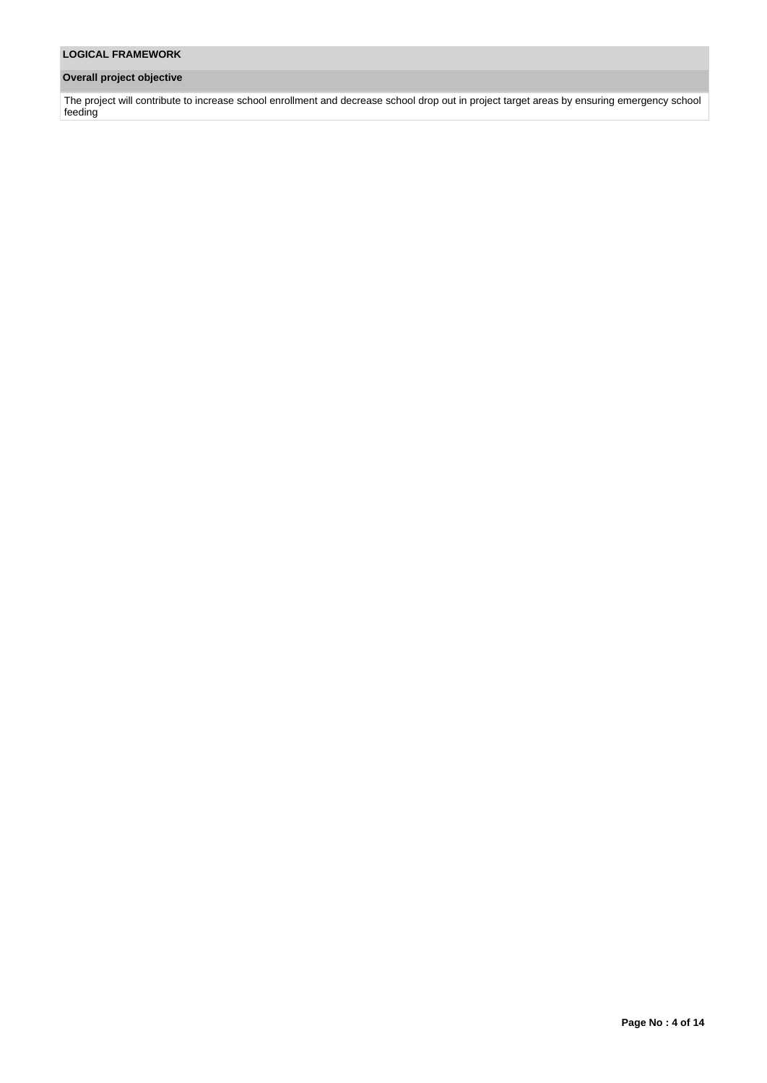# **Overall project objective**

The project will contribute to increase school enrollment and decrease school drop out in project target areas by ensuring emergency school feeding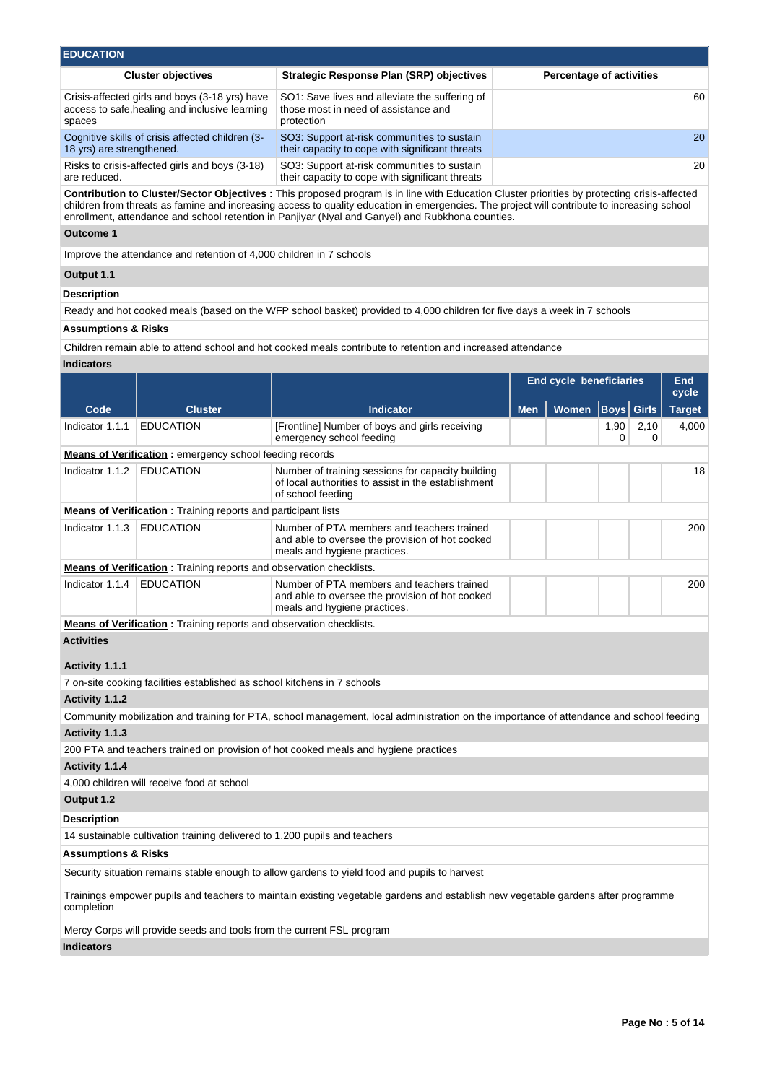| <b>EDUCATION</b>                                                                                           |                                                                                                      |                                 |  |  |  |  |  |  |  |
|------------------------------------------------------------------------------------------------------------|------------------------------------------------------------------------------------------------------|---------------------------------|--|--|--|--|--|--|--|
| <b>Cluster objectives</b>                                                                                  | Strategic Response Plan (SRP) objectives                                                             | <b>Percentage of activities</b> |  |  |  |  |  |  |  |
| Crisis-affected girls and boys (3-18 yrs) have<br>access to safe, healing and inclusive learning<br>spaces | SO1: Save lives and alleviate the suffering of<br>those most in need of assistance and<br>protection | 60                              |  |  |  |  |  |  |  |
| Cognitive skills of crisis affected children (3-<br>18 yrs) are strengthened.                              | SO3: Support at-risk communities to sustain<br>their capacity to cope with significant threats       | <b>20</b>                       |  |  |  |  |  |  |  |
| Risks to crisis-affected girls and boys (3-18)<br>are reduced.                                             | SO3: Support at-risk communities to sustain<br>their capacity to cope with significant threats       | 20                              |  |  |  |  |  |  |  |

**Contribution to Cluster/Sector Objectives :** This proposed program is in line with Education Cluster priorities by protecting crisis-affected children from threats as famine and increasing access to quality education in emergencies. The project will contribute to increasing school enrollment, attendance and school retention in Panjiyar (Nyal and Ganyel) and Rubkhona counties.

### **Outcome 1**

Improve the attendance and retention of 4,000 children in 7 schools

# **Output 1.1**

### **Description**

Ready and hot cooked meals (based on the WFP school basket) provided to 4,000 children for five days a week in 7 schools

### **Assumptions & Risks**

Children remain able to attend school and hot cooked meals contribute to retention and increased attendance

### **Indicators**

|                                     |                                                                       |                                                                                                                                         | <b>End cycle beneficiaries</b> |       |           |           | <b>End</b><br>cycle |
|-------------------------------------|-----------------------------------------------------------------------|-----------------------------------------------------------------------------------------------------------------------------------------|--------------------------------|-------|-----------|-----------|---------------------|
| Code                                | <b>Cluster</b>                                                        | <b>Indicator</b>                                                                                                                        | <b>Men</b>                     | Women | Boys      | Girls     | <b>Target</b>       |
| Indicator 1.1.1                     | <b>EDUCATION</b>                                                      | [Frontline] Number of boys and girls receiving<br>emergency school feeding                                                              |                                |       | 1,90<br>0 | 2,10<br>0 | 4,000               |
|                                     | Means of Verification: emergency school feeding records               |                                                                                                                                         |                                |       |           |           |                     |
| Indicator 1.1.2                     | <b>EDUCATION</b>                                                      | Number of training sessions for capacity building<br>of local authorities to assist in the establishment<br>of school feeding           |                                |       |           |           | 18                  |
|                                     | <b>Means of Verification</b> : Training reports and participant lists |                                                                                                                                         |                                |       |           |           |                     |
| Indicator 1.1.3                     | <b>EDUCATION</b>                                                      | Number of PTA members and teachers trained<br>and able to oversee the provision of hot cooked<br>meals and hygiene practices.           |                                |       |           |           | 200                 |
|                                     |                                                                       | Means of Verification: Training reports and observation checklists.                                                                     |                                |       |           |           |                     |
| Indicator 1.1.4                     | EDUCATION                                                             | Number of PTA members and teachers trained<br>and able to oversee the provision of hot cooked<br>meals and hygiene practices.           |                                |       |           |           | 200                 |
|                                     |                                                                       | Means of Verification: Training reports and observation checklists.                                                                     |                                |       |           |           |                     |
| <b>Activities</b><br>Activity 1.1.1 |                                                                       |                                                                                                                                         |                                |       |           |           |                     |
|                                     |                                                                       | 7 on-site cooking facilities established as school kitchens in 7 schools                                                                |                                |       |           |           |                     |
| Activity 1.1.2                      |                                                                       |                                                                                                                                         |                                |       |           |           |                     |
|                                     |                                                                       | Community mobilization and training for PTA, school management, local administration on the importance of attendance and school feeding |                                |       |           |           |                     |
| Activity 1.1.3                      |                                                                       |                                                                                                                                         |                                |       |           |           |                     |
|                                     |                                                                       | 200 PTA and teachers trained on provision of hot cooked meals and hygiene practices                                                     |                                |       |           |           |                     |
| Activity 1.1.4                      |                                                                       |                                                                                                                                         |                                |       |           |           |                     |
|                                     | 4,000 children will receive food at school                            |                                                                                                                                         |                                |       |           |           |                     |
| Output 1.2                          |                                                                       |                                                                                                                                         |                                |       |           |           |                     |
| <b>Description</b>                  |                                                                       |                                                                                                                                         |                                |       |           |           |                     |
|                                     |                                                                       | 14 sustainable cultivation training delivered to 1,200 pupils and teachers                                                              |                                |       |           |           |                     |
| <b>Assumptions &amp; Risks</b>      |                                                                       |                                                                                                                                         |                                |       |           |           |                     |
|                                     |                                                                       | Security situation remains stable enough to allow gardens to yield food and pupils to harvest                                           |                                |       |           |           |                     |
| completion                          |                                                                       | Trainings empower pupils and teachers to maintain existing vegetable gardens and establish new vegetable gardens after programme        |                                |       |           |           |                     |
|                                     |                                                                       | Mercy Corps will provide seeds and tools from the current FSL program                                                                   |                                |       |           |           |                     |
|                                     |                                                                       |                                                                                                                                         |                                |       |           |           |                     |

### **Indicators**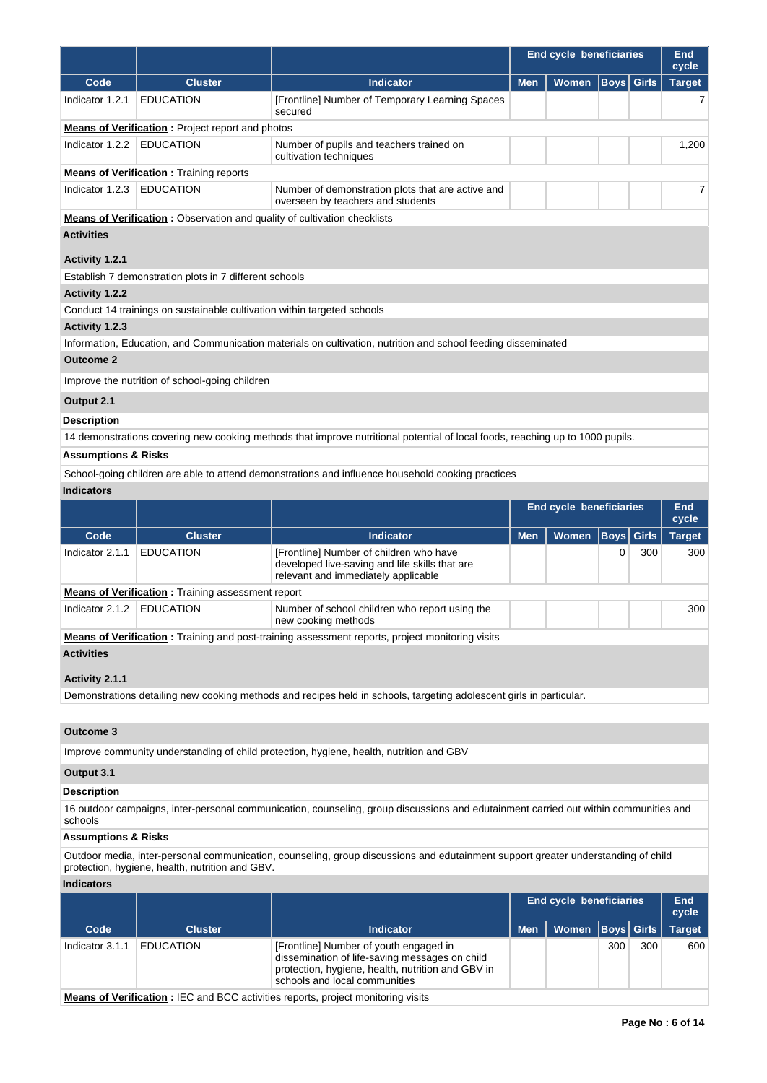|                                     |                                                                                 |                                                                                                                                  | <b>End cycle beneficiaries</b> | End<br>cycle                   |      |              |               |
|-------------------------------------|---------------------------------------------------------------------------------|----------------------------------------------------------------------------------------------------------------------------------|--------------------------------|--------------------------------|------|--------------|---------------|
| Code                                | <b>Cluster</b>                                                                  | <b>Indicator</b>                                                                                                                 | <b>Men</b><br><b>Women</b>     |                                | Boys | <b>Girls</b> | <b>Target</b> |
| Indicator 1.2.1                     | <b>EDUCATION</b>                                                                | [Frontline] Number of Temporary Learning Spaces<br>secured                                                                       |                                |                                |      |              | 7             |
|                                     | <b>Means of Verification:</b> Project report and photos                         |                                                                                                                                  |                                |                                |      |              |               |
| Indicator 1.2.2                     | <b>EDUCATION</b>                                                                | Number of pupils and teachers trained on<br>cultivation techniques                                                               |                                |                                |      |              | 1,200         |
|                                     | <b>Means of Verification:</b> Training reports                                  |                                                                                                                                  |                                |                                |      |              |               |
| Indicator 1.2.3                     | <b>EDUCATION</b>                                                                | Number of demonstration plots that are active and<br>overseen by teachers and students                                           |                                |                                |      |              | 7             |
|                                     | <b>Means of Verification:</b> Observation and quality of cultivation checklists |                                                                                                                                  |                                |                                |      |              |               |
| <b>Activities</b><br>Activity 1.2.1 |                                                                                 |                                                                                                                                  |                                |                                |      |              |               |
|                                     | Establish 7 demonstration plots in 7 different schools                          |                                                                                                                                  |                                |                                |      |              |               |
| <b>Activity 1.2.2</b>               |                                                                                 |                                                                                                                                  |                                |                                |      |              |               |
|                                     | Conduct 14 trainings on sustainable cultivation within targeted schools         |                                                                                                                                  |                                |                                |      |              |               |
| Activity 1.2.3                      |                                                                                 |                                                                                                                                  |                                |                                |      |              |               |
| <b>Outcome 2</b>                    |                                                                                 | Information, Education, and Communication materials on cultivation, nutrition and school feeding disseminated                    |                                |                                |      |              |               |
|                                     |                                                                                 |                                                                                                                                  |                                |                                |      |              |               |
|                                     | Improve the nutrition of school-going children                                  |                                                                                                                                  |                                |                                |      |              |               |
| Output 2.1                          |                                                                                 |                                                                                                                                  |                                |                                |      |              |               |
| <b>Description</b>                  |                                                                                 |                                                                                                                                  |                                |                                |      |              |               |
|                                     |                                                                                 | 14 demonstrations covering new cooking methods that improve nutritional potential of local foods, reaching up to 1000 pupils.    |                                |                                |      |              |               |
| <b>Assumptions &amp; Risks</b>      |                                                                                 |                                                                                                                                  |                                |                                |      |              |               |
|                                     |                                                                                 | School-going children are able to attend demonstrations and influence household cooking practices                                |                                |                                |      |              |               |
| <b>Indicators</b>                   |                                                                                 |                                                                                                                                  |                                |                                |      |              |               |
|                                     |                                                                                 |                                                                                                                                  |                                | <b>End cycle beneficiaries</b> |      |              | End<br>cycle  |
| Code                                | <b>Cluster</b>                                                                  | <b>Indicator</b>                                                                                                                 | <b>Men</b>                     | <b>Women</b>                   | Boys | Girls        | <b>Target</b> |
| Indicator 2.1.1                     | <b>EDUCATION</b>                                                                | [Frontline] Number of children who have<br>developed live-saving and life skills that are<br>relevant and immediately applicable |                                |                                | 0    | 300          | 300           |
|                                     | <b>Means of Verification:</b> Training assessment report                        |                                                                                                                                  |                                |                                |      |              |               |
| Indicator 2.1.2   EDUCATION         |                                                                                 | Number of school children who report using the<br>new cooking methods                                                            |                                |                                |      |              | 300           |
|                                     |                                                                                 | <b>Means of Verification</b> : Training and post-training assessment reports, project monitoring visits                          |                                |                                |      |              |               |
| <b>Activities</b>                   |                                                                                 |                                                                                                                                  |                                |                                |      |              |               |
| Activity 2.1.1                      |                                                                                 |                                                                                                                                  |                                |                                |      |              |               |
|                                     |                                                                                 | Demonstrations detailing new cooking methods and recipes held in schools, targeting adolescent girls in particular.              |                                |                                |      |              |               |

# **Outcome 3**

Improve community understanding of child protection, hygiene, health, nutrition and GBV

# **Output 3.1**

### **Description**

16 outdoor campaigns, inter-personal communication, counseling, group discussions and edutainment carried out within communities and schools

# **Assumptions & Risks**

Outdoor media, inter-personal communication, counseling, group discussions and edutainment support greater understanding of child protection, hygiene, health, nutrition and GBV.

### **Indicators**

|                 |                  |                                                                                                                                                                                | End cycle beneficiaries | End<br>cycle         |     |     |        |
|-----------------|------------------|--------------------------------------------------------------------------------------------------------------------------------------------------------------------------------|-------------------------|----------------------|-----|-----|--------|
| Code            | <b>Cluster</b>   | <b>Indicator</b>                                                                                                                                                               | <b>Men</b>              | Women   Boys   Girls |     |     | Target |
| Indicator 3.1.1 | <b>EDUCATION</b> | [Frontline] Number of youth engaged in<br>dissemination of life-saving messages on child<br>protection, hygiene, health, nutrition and GBV in<br>schools and local communities |                         |                      | 300 | 300 | 600    |

**Means of Verification :** IEC and BCC activities reports, project monitoring visits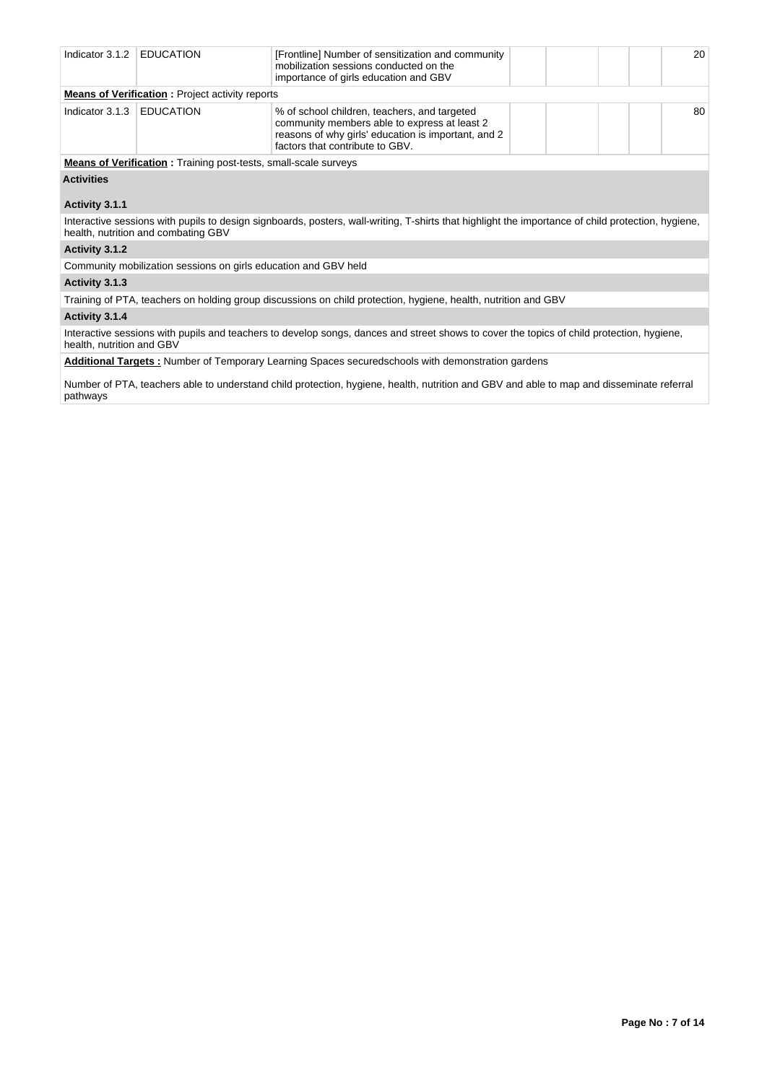| Indicator 3.1.2   | <b>EDUCATION</b>                                                       | [Frontline] Number of sensitization and community<br>mobilization sessions conducted on the<br>importance of girls education and GBV                                                   | 20 |
|-------------------|------------------------------------------------------------------------|----------------------------------------------------------------------------------------------------------------------------------------------------------------------------------------|----|
|                   | <b>Means of Verification:</b> Project activity reports                 |                                                                                                                                                                                        |    |
| Indicator 3.1.3   | <b>EDUCATION</b>                                                       | % of school children, teachers, and targeted<br>community members able to express at least 2<br>reasons of why girls' education is important, and 2<br>factors that contribute to GBV. | 80 |
|                   | <b>Means of Verification:</b> Training post-tests, small-scale surveys |                                                                                                                                                                                        |    |
| <b>Activities</b> |                                                                        |                                                                                                                                                                                        |    |
| Activity 3.1.1    |                                                                        |                                                                                                                                                                                        |    |
|                   | health, nutrition and combating GBV                                    | Interactive sessions with pupils to design signboards, posters, wall-writing, T-shirts that highlight the importance of child protection, hygiene,                                     |    |
| Activity 3.1.2    |                                                                        |                                                                                                                                                                                        |    |
|                   | Community mobilization sessions on girls education and GBV held        |                                                                                                                                                                                        |    |
| Activity 3.1.3    |                                                                        |                                                                                                                                                                                        |    |
|                   |                                                                        | Training of PTA, teachers on holding group discussions on child protection, hygiene, health, nutrition and GBV                                                                         |    |
| $A$ ctivity $2A$  |                                                                        |                                                                                                                                                                                        |    |

**Activity 3.1.4** 

Interactive sessions with pupils and teachers to develop songs, dances and street shows to cover the topics of child protection, hygiene, health, nutrition and GBV

**Additional Targets :** Number of Temporary Learning Spaces securedschools with demonstration gardens

Number of PTA, teachers able to understand child protection, hygiene, health, nutrition and GBV and able to map and disseminate referral pathways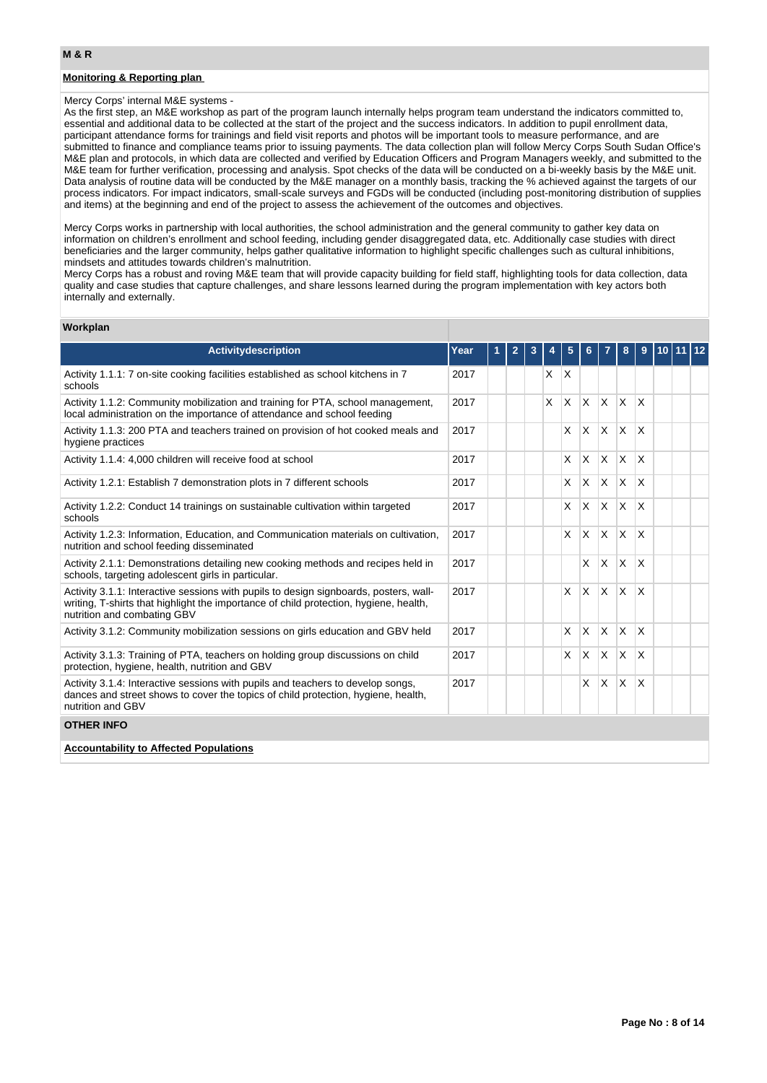### **Monitoring & Reporting plan**

#### Mercy Corps' internal M&E systems -

As the first step, an M&E workshop as part of the program launch internally helps program team understand the indicators committed to, essential and additional data to be collected at the start of the project and the success indicators. In addition to pupil enrollment data, participant attendance forms for trainings and field visit reports and photos will be important tools to measure performance, and are submitted to finance and compliance teams prior to issuing payments. The data collection plan will follow Mercy Corps South Sudan Office's M&E plan and protocols, in which data are collected and verified by Education Officers and Program Managers weekly, and submitted to the M&E team for further verification, processing and analysis. Spot checks of the data will be conducted on a bi-weekly basis by the M&E unit. Data analysis of routine data will be conducted by the M&E manager on a monthly basis, tracking the % achieved against the targets of our process indicators. For impact indicators, small-scale surveys and FGDs will be conducted (including post-monitoring distribution of supplies and items) at the beginning and end of the project to assess the achievement of the outcomes and objectives.

Mercy Corps works in partnership with local authorities, the school administration and the general community to gather key data on information on children's enrollment and school feeding, including gender disaggregated data, etc. Additionally case studies with direct beneficiaries and the larger community, helps gather qualitative information to highlight specific challenges such as cultural inhibitions, mindsets and attitudes towards children's malnutrition.

Mercy Corps has a robust and roving M&E team that will provide capacity building for field staff, highlighting tools for data collection, data quality and case studies that capture challenges, and share lessons learned during the program implementation with key actors both internally and externally.

### **Workplan**

| Activitydescription                                                                                                                                                                                           | Year | 1 | $\overline{2}$ | 3 | 4 | 5        | 6            | 7                       | 8            | 9               | 10 <sup>°</sup> | 12 |
|---------------------------------------------------------------------------------------------------------------------------------------------------------------------------------------------------------------|------|---|----------------|---|---|----------|--------------|-------------------------|--------------|-----------------|-----------------|----|
| Activity 1.1.1: 7 on-site cooking facilities established as school kitchens in 7<br>schools                                                                                                                   | 2017 |   |                |   | X | $\times$ |              |                         |              |                 |                 |    |
| Activity 1.1.2: Community mobilization and training for PTA, school management,<br>local administration on the importance of attendance and school feeding                                                    | 2017 |   |                |   | X | X        | $\mathsf{x}$ | $\mathsf{X}$            | $\mathsf{X}$ | $\mathsf{\chi}$ |                 |    |
| Activity 1.1.3: 200 PTA and teachers trained on provision of hot cooked meals and<br>hygiene practices                                                                                                        | 2017 |   |                |   |   | X        | X.           | XX                      |              | ΙX.             |                 |    |
| Activity 1.1.4: 4,000 children will receive food at school                                                                                                                                                    | 2017 |   |                |   |   | X        | $\times$     | $\mathsf{X}$            | $\mathsf{X}$ | <b>X</b>        |                 |    |
| Activity 1.2.1: Establish 7 demonstration plots in 7 different schools                                                                                                                                        | 2017 |   |                |   |   | X        | $\times$     | ΙX.                     | X.           | X               |                 |    |
| Activity 1.2.2: Conduct 14 trainings on sustainable cultivation within targeted<br>schools                                                                                                                    | 2017 |   |                |   |   | X        | X            | $\mathsf{I} \mathsf{X}$ | $\mathsf{X}$ | X               |                 |    |
| Activity 1.2.3: Information, Education, and Communication materials on cultivation,<br>nutrition and school feeding disseminated                                                                              | 2017 |   |                |   |   | X        | $\times$     | $\mathsf{X}$            | <b>X</b>     | X               |                 |    |
| Activity 2.1.1: Demonstrations detailing new cooking methods and recipes held in<br>schools, targeting adolescent girls in particular.                                                                        | 2017 |   |                |   |   |          | X            | ΙX.                     | X            | X               |                 |    |
| Activity 3.1.1: Interactive sessions with pupils to design signboards, posters, wall-<br>writing, T-shirts that highlight the importance of child protection, hygiene, health,<br>nutrition and combating GBV | 2017 |   |                |   |   | X        | $\times$     | ΙX.                     | <b>X</b>     | X               |                 |    |
| Activity 3.1.2: Community mobilization sessions on girls education and GBV held                                                                                                                               | 2017 |   |                |   |   | X        | $\times$     | Ιx.                     | <b>X</b>     | $\mathsf{x}$    |                 |    |
| Activity 3.1.3: Training of PTA, teachers on holding group discussions on child<br>protection, hygiene, health, nutrition and GBV                                                                             | 2017 |   |                |   |   | X        | $\mathsf{x}$ | $X$ $X$                 |              | X               |                 |    |
| Activity 3.1.4: Interactive sessions with pupils and teachers to develop songs,<br>dances and street shows to cover the topics of child protection, hygiene, health,<br>nutrition and GBV                     | 2017 |   |                |   |   |          | X            | IX.                     | X.           | X               |                 |    |
| <b>OTHER INFO</b>                                                                                                                                                                                             |      |   |                |   |   |          |              |                         |              |                 |                 |    |
| <b>Accountability to Affected Populations</b>                                                                                                                                                                 |      |   |                |   |   |          |              |                         |              |                 |                 |    |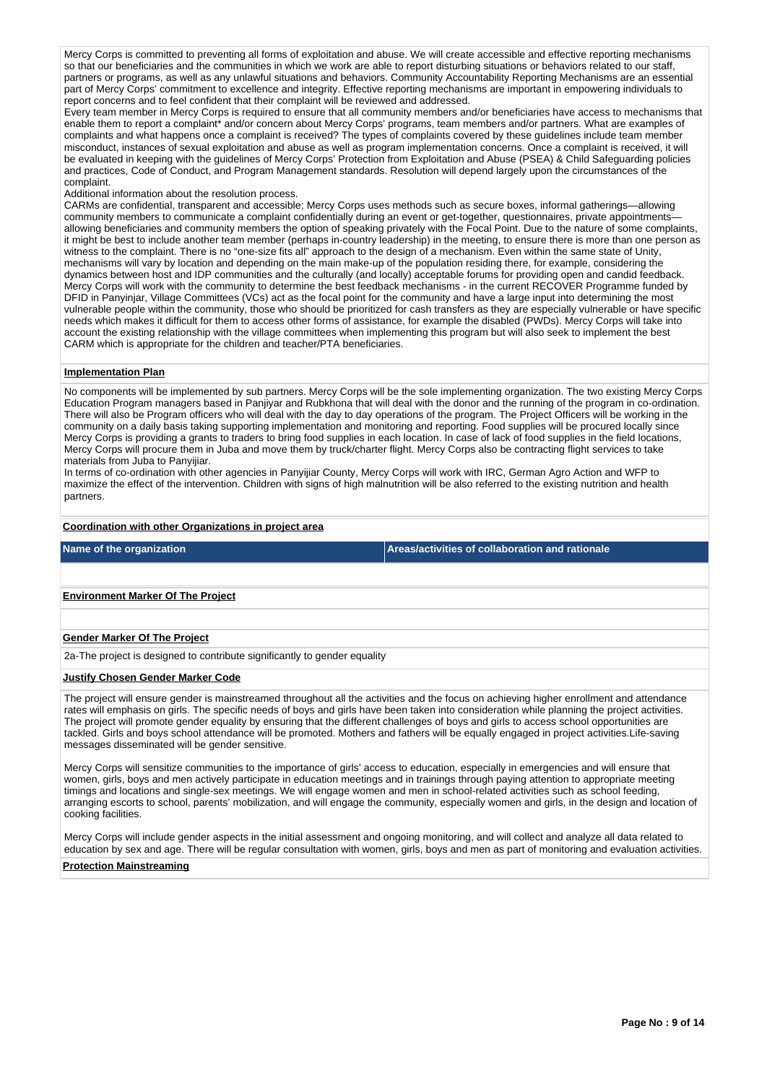Mercy Corps is committed to preventing all forms of exploitation and abuse. We will create accessible and effective reporting mechanisms so that our beneficiaries and the communities in which we work are able to report disturbing situations or behaviors related to our staff, partners or programs, as well as any unlawful situations and behaviors. Community Accountability Reporting Mechanisms are an essential part of Mercy Corps' commitment to excellence and integrity. Effective reporting mechanisms are important in empowering individuals to report concerns and to feel confident that their complaint will be reviewed and addressed.

Every team member in Mercy Corps is required to ensure that all community members and/or beneficiaries have access to mechanisms that enable them to report a complaint\* and/or concern about Mercy Corps' programs, team members and/or partners. What are examples of complaints and what happens once a complaint is received? The types of complaints covered by these guidelines include team member misconduct, instances of sexual exploitation and abuse as well as program implementation concerns. Once a complaint is received, it will be evaluated in keeping with the guidelines of Mercy Corps' Protection from Exploitation and Abuse (PSEA) & Child Safeguarding policies and practices, Code of Conduct, and Program Management standards. Resolution will depend largely upon the circumstances of the complaint.

#### Additional information about the resolution process.

CARMs are confidential, transparent and accessible; Mercy Corps uses methods such as secure boxes, informal gatherings—allowing community members to communicate a complaint confidentially during an event or get-together, questionnaires, private appointments allowing beneficiaries and community members the option of speaking privately with the Focal Point. Due to the nature of some complaints, it might be best to include another team member (perhaps in-country leadership) in the meeting, to ensure there is more than one person as witness to the complaint. There is no "one-size fits all" approach to the design of a mechanism. Even within the same state of Unity, mechanisms will vary by location and depending on the main make-up of the population residing there, for example, considering the dynamics between host and IDP communities and the culturally (and locally) acceptable forums for providing open and candid feedback. Mercy Corps will work with the community to determine the best feedback mechanisms - in the current RECOVER Programme funded by DFID in Panyinjar, Village Committees (VCs) act as the focal point for the community and have a large input into determining the most vulnerable people within the community, those who should be prioritized for cash transfers as they are especially vulnerable or have specific needs which makes it difficult for them to access other forms of assistance, for example the disabled (PWDs). Mercy Corps will take into account the existing relationship with the village committees when implementing this program but will also seek to implement the best CARM which is appropriate for the children and teacher/PTA beneficiaries.

### **Implementation Plan**

No components will be implemented by sub partners. Mercy Corps will be the sole implementing organization. The two existing Mercy Corps Education Program managers based in Panjiyar and Rubkhona that will deal with the donor and the running of the program in co-ordination. There will also be Program officers who will deal with the day to day operations of the program. The Project Officers will be working in the community on a daily basis taking supporting implementation and monitoring and reporting. Food supplies will be procured locally since Mercy Corps is providing a grants to traders to bring food supplies in each location. In case of lack of food supplies in the field locations, Mercy Corps will procure them in Juba and move them by truck/charter flight. Mercy Corps also be contracting flight services to take materials from Juba to Panyijiar.

In terms of co-ordination with other agencies in Panyijiar County, Mercy Corps will work with IRC, German Agro Action and WFP to maximize the effect of the intervention. Children with signs of high malnutrition will be also referred to the existing nutrition and health partners.

### **Coordination with other Organizations in project area**

**Name of the organization Areas/activities of collaboration and rationale** 

### **Environment Marker Of The Project**

#### **Gender Marker Of The Project**

2a-The project is designed to contribute significantly to gender equality

#### **Justify Chosen Gender Marker Code**

The project will ensure gender is mainstreamed throughout all the activities and the focus on achieving higher enrollment and attendance rates will emphasis on girls. The specific needs of boys and girls have been taken into consideration while planning the project activities. The project will promote gender equality by ensuring that the different challenges of boys and girls to access school opportunities are tackled. Girls and boys school attendance will be promoted. Mothers and fathers will be equally engaged in project activities.Life-saving messages disseminated will be gender sensitive.

Mercy Corps will sensitize communities to the importance of girls' access to education, especially in emergencies and will ensure that women, girls, boys and men actively participate in education meetings and in trainings through paying attention to appropriate meeting timings and locations and single-sex meetings. We will engage women and men in school-related activities such as school feeding, arranging escorts to school, parents' mobilization, and will engage the community, especially women and girls, in the design and location of cooking facilities.

Mercy Corps will include gender aspects in the initial assessment and ongoing monitoring, and will collect and analyze all data related to education by sex and age. There will be regular consultation with women, girls, boys and men as part of monitoring and evaluation activities.

#### **Protection Mainstreaming**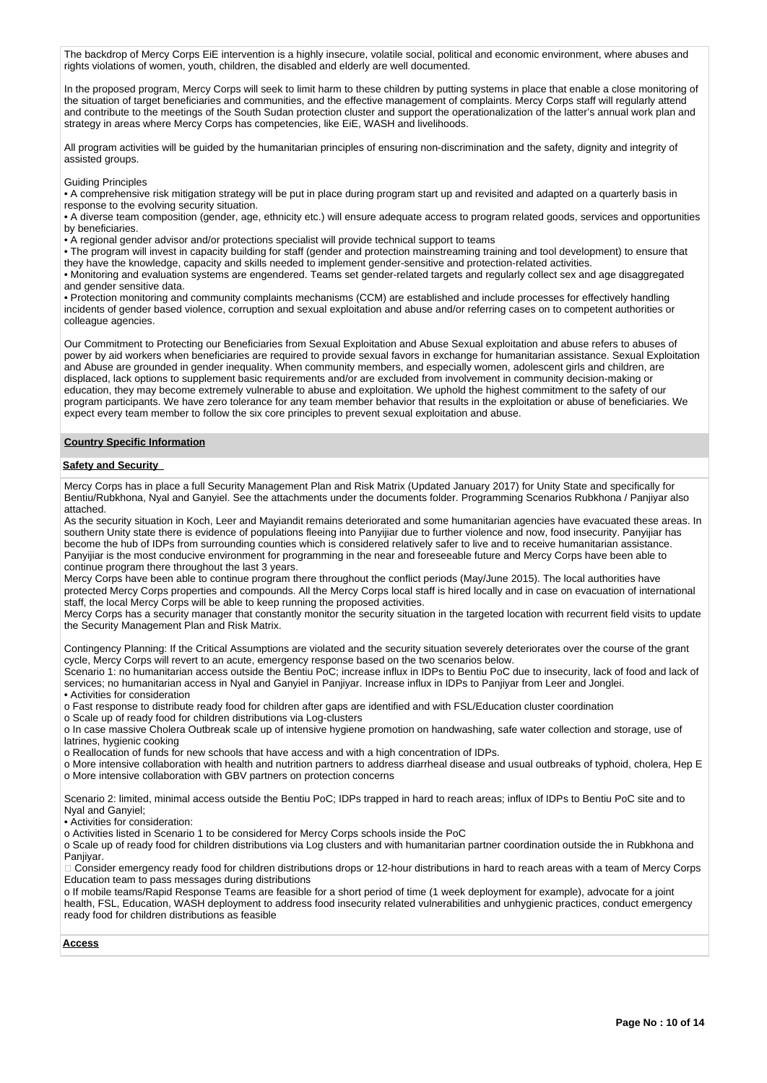The backdrop of Mercy Corps EiE intervention is a highly insecure, volatile social, political and economic environment, where abuses and rights violations of women, youth, children, the disabled and elderly are well documented.

In the proposed program, Mercy Corps will seek to limit harm to these children by putting systems in place that enable a close monitoring of the situation of target beneficiaries and communities, and the effective management of complaints. Mercy Corps staff will regularly attend and contribute to the meetings of the South Sudan protection cluster and support the operationalization of the latter's annual work plan and strategy in areas where Mercy Corps has competencies, like EiE, WASH and livelihoods.

All program activities will be guided by the humanitarian principles of ensuring non-discrimination and the safety, dignity and integrity of assisted groups.

Guiding Principles

• A comprehensive risk mitigation strategy will be put in place during program start up and revisited and adapted on a quarterly basis in response to the evolving security situation.

• A diverse team composition (gender, age, ethnicity etc.) will ensure adequate access to program related goods, services and opportunities by beneficiaries.

• A regional gender advisor and/or protections specialist will provide technical support to teams

• The program will invest in capacity building for staff (gender and protection mainstreaming training and tool development) to ensure that they have the knowledge, capacity and skills needed to implement gender-sensitive and protection-related activities.

• Monitoring and evaluation systems are engendered. Teams set gender-related targets and regularly collect sex and age disaggregated and gender sensitive data.

• Protection monitoring and community complaints mechanisms (CCM) are established and include processes for effectively handling incidents of gender based violence, corruption and sexual exploitation and abuse and/or referring cases on to competent authorities or colleague agencies.

Our Commitment to Protecting our Beneficiaries from Sexual Exploitation and Abuse Sexual exploitation and abuse refers to abuses of power by aid workers when beneficiaries are required to provide sexual favors in exchange for humanitarian assistance. Sexual Exploitation and Abuse are grounded in gender inequality. When community members, and especially women, adolescent girls and children, are displaced, lack options to supplement basic requirements and/or are excluded from involvement in community decision-making or education, they may become extremely vulnerable to abuse and exploitation. We uphold the highest commitment to the safety of our program participants. We have zero tolerance for any team member behavior that results in the exploitation or abuse of beneficiaries. We expect every team member to follow the six core principles to prevent sexual exploitation and abuse.

### **Country Specific Information**

#### **Safety and Security**

Mercy Corps has in place a full Security Management Plan and Risk Matrix (Updated January 2017) for Unity State and specifically for Bentiu/Rubkhona, Nyal and Ganyiel. See the attachments under the documents folder. Programming Scenarios Rubkhona / Panjiyar also attached.

As the security situation in Koch, Leer and Mayiandit remains deteriorated and some humanitarian agencies have evacuated these areas. In southern Unity state there is evidence of populations fleeing into Panyijiar due to further violence and now, food insecurity. Panyijiar has become the hub of IDPs from surrounding counties which is considered relatively safer to live and to receive humanitarian assistance. Panyijiar is the most conducive environment for programming in the near and foreseeable future and Mercy Corps have been able to continue program there throughout the last 3 years.

Mercy Corps have been able to continue program there throughout the conflict periods (May/June 2015). The local authorities have protected Mercy Corps properties and compounds. All the Mercy Corps local staff is hired locally and in case on evacuation of international staff, the local Mercy Corps will be able to keep running the proposed activities.

Mercy Corps has a security manager that constantly monitor the security situation in the targeted location with recurrent field visits to update the Security Management Plan and Risk Matrix.

Contingency Planning: If the Critical Assumptions are violated and the security situation severely deteriorates over the course of the grant cycle, Mercy Corps will revert to an acute, emergency response based on the two scenarios below.

Scenario 1: no humanitarian access outside the Bentiu PoC; increase influx in IDPs to Bentiu PoC due to insecurity, lack of food and lack of services; no humanitarian access in Nyal and Ganyiel in Panjiyar. Increase influx in IDPs to Panjiyar from Leer and Jonglei. • Activities for consideration

o Fast response to distribute ready food for children after gaps are identified and with FSL/Education cluster coordination

o Scale up of ready food for children distributions via Log-clusters

o In case massive Cholera Outbreak scale up of intensive hygiene promotion on handwashing, safe water collection and storage, use of latrines, hygienic cooking

o Reallocation of funds for new schools that have access and with a high concentration of IDPs.

o More intensive collaboration with health and nutrition partners to address diarrheal disease and usual outbreaks of typhoid, cholera, Hep E o More intensive collaboration with GBV partners on protection concerns

Scenario 2: limited, minimal access outside the Bentiu PoC; IDPs trapped in hard to reach areas; influx of IDPs to Bentiu PoC site and to Nyal and Ganyiel;

• Activities for consideration:

o Activities listed in Scenario 1 to be considered for Mercy Corps schools inside the PoC

o Scale up of ready food for children distributions via Log clusters and with humanitarian partner coordination outside the in Rubkhona and Paniivar.

Consider emergency ready food for children distributions drops or 12-hour distributions in hard to reach areas with a team of Mercy Corps Education team to pass messages during distributions

o If mobile teams/Rapid Response Teams are feasible for a short period of time (1 week deployment for example), advocate for a joint health, FSL, Education, WASH deployment to address food insecurity related vulnerabilities and unhygienic practices, conduct emergency ready food for children distributions as feasible

#### **Access**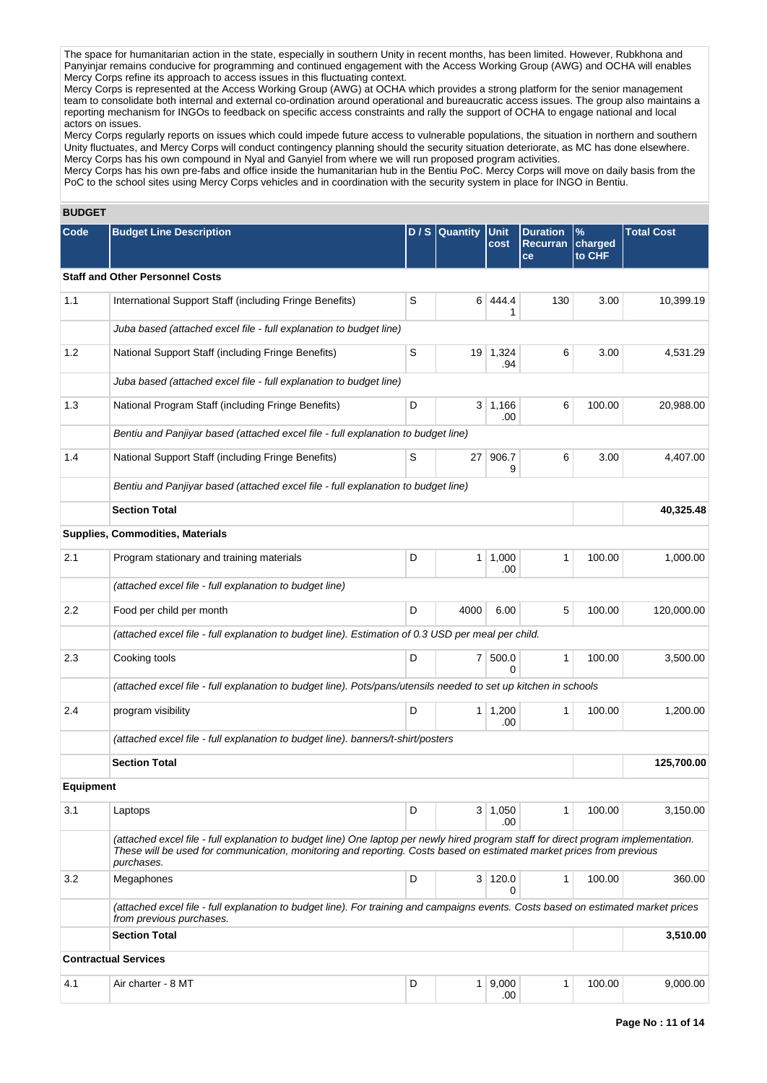The space for humanitarian action in the state, especially in southern Unity in recent months, has been limited. However, Rubkhona and Panyinjar remains conducive for programming and continued engagement with the Access Working Group (AWG) and OCHA will enables Mercy Corps refine its approach to access issues in this fluctuating context.

Mercy Corps is represented at the Access Working Group (AWG) at OCHA which provides a strong platform for the senior management team to consolidate both internal and external co-ordination around operational and bureaucratic access issues. The group also maintains a reporting mechanism for INGOs to feedback on specific access constraints and rally the support of OCHA to engage national and local actors on issues.

Mercy Corps regularly reports on issues which could impede future access to vulnerable populations, the situation in northern and southern Unity fluctuates, and Mercy Corps will conduct contingency planning should the security situation deteriorate, as MC has done elsewhere. Mercy Corps has his own compound in Nyal and Ganyiel from where we will run proposed program activities.

Mercy Corps has his own pre-fabs and office inside the humanitarian hub in the Bentiu PoC. Mercy Corps will move on daily basis from the PoC to the school sites using Mercy Corps vehicles and in coordination with the security system in place for INGO in Bentiu.

# **BUDGET**

| Code             | <b>Budget Line Description</b>                                                                                                                                                                                                                                            |   | D / S Quantity | Unit<br>cost          | <b>Duration</b><br>Recurran | $\frac{9}{6}$<br>charged | <b>Total Cost</b> |  |
|------------------|---------------------------------------------------------------------------------------------------------------------------------------------------------------------------------------------------------------------------------------------------------------------------|---|----------------|-----------------------|-----------------------------|--------------------------|-------------------|--|
|                  |                                                                                                                                                                                                                                                                           |   |                |                       | ce                          | to CHF                   |                   |  |
|                  | <b>Staff and Other Personnel Costs</b>                                                                                                                                                                                                                                    |   |                |                       |                             |                          |                   |  |
| 1.1              | International Support Staff (including Fringe Benefits)                                                                                                                                                                                                                   | S | 6              | 444.4<br>1            | 130                         | 3.00                     | 10,399.19         |  |
|                  | Juba based (attached excel file - full explanation to budget line)                                                                                                                                                                                                        |   |                |                       |                             |                          |                   |  |
| 1.2              | National Support Staff (including Fringe Benefits)                                                                                                                                                                                                                        | S | 19             | 1,324<br>.94          | 6                           | 3.00                     | 4,531.29          |  |
|                  | Juba based (attached excel file - full explanation to budget line)                                                                                                                                                                                                        |   |                |                       |                             |                          |                   |  |
| 1.3              | National Program Staff (including Fringe Benefits)                                                                                                                                                                                                                        | D | 3              | 1,166<br>.00          | 6                           | 100.00                   | 20,988.00         |  |
|                  | Bentiu and Panjiyar based (attached excel file - full explanation to budget line)                                                                                                                                                                                         |   |                |                       |                             |                          |                   |  |
| 1.4              | National Support Staff (including Fringe Benefits)                                                                                                                                                                                                                        |   | 27             | 906.7<br>9            | 6                           | 3.00                     | 4,407.00          |  |
|                  | Bentiu and Panjiyar based (attached excel file - full explanation to budget line)                                                                                                                                                                                         |   |                |                       |                             |                          |                   |  |
|                  | <b>Section Total</b>                                                                                                                                                                                                                                                      |   |                |                       |                             |                          | 40,325.48         |  |
|                  | Supplies, Commodities, Materials                                                                                                                                                                                                                                          |   |                |                       |                             |                          |                   |  |
| 2.1              | Program stationary and training materials                                                                                                                                                                                                                                 | D |                | 1   1,000<br>.00      | 1                           | 100.00                   | 1,000.00          |  |
|                  | (attached excel file - full explanation to budget line)                                                                                                                                                                                                                   |   |                |                       |                             |                          |                   |  |
| 2.2              | Food per child per month                                                                                                                                                                                                                                                  | D | 4000           | 6.00                  | 5                           | 100.00                   | 120,000.00        |  |
|                  | (attached excel file - full explanation to budget line). Estimation of 0.3 USD per meal per child.                                                                                                                                                                        |   |                |                       |                             |                          |                   |  |
| 2.3              | Cooking tools                                                                                                                                                                                                                                                             | D |                | 7 500.0<br>$\Omega$   | 1                           | 100.00                   | 3,500.00          |  |
|                  | (attached excel file - full explanation to budget line). Pots/pans/utensils needed to set up kitchen in schools                                                                                                                                                           |   |                |                       |                             |                          |                   |  |
| 2.4              | program visibility                                                                                                                                                                                                                                                        | D |                | $1 \mid 1,200$<br>.00 | $\mathbf{1}$                | 100.00                   | 1,200.00          |  |
|                  | (attached excel file - full explanation to budget line). banners/t-shirt/posters                                                                                                                                                                                          |   |                |                       |                             |                          |                   |  |
|                  | <b>Section Total</b>                                                                                                                                                                                                                                                      |   |                | 125,700.00            |                             |                          |                   |  |
| <b>Equipment</b> |                                                                                                                                                                                                                                                                           |   |                |                       |                             |                          |                   |  |
| 3.1              | Laptops                                                                                                                                                                                                                                                                   | D |                | 3   1,050<br>.00      | 1                           | 100.00                   | 3,150.00          |  |
|                  | (attached excel file - full explanation to budget line) One laptop per newly hired program staff for direct program implementation.<br>These will be used for communication, monitoring and reporting. Costs based on estimated market prices from previous<br>purchases. |   |                |                       |                             |                          |                   |  |
| 3.2              | Megaphones                                                                                                                                                                                                                                                                | D |                | 3 120.0<br>0          | $\mathbf{1}$                | 100.00                   | 360.00            |  |
|                  | (attached excel file - full explanation to budget line). For training and campaigns events. Costs based on estimated market prices<br>from previous purchases.                                                                                                            |   |                |                       |                             |                          |                   |  |
|                  | <b>Section Total</b>                                                                                                                                                                                                                                                      |   |                |                       |                             |                          | 3,510.00          |  |
|                  | <b>Contractual Services</b>                                                                                                                                                                                                                                               |   |                |                       |                             |                          |                   |  |
| 4.1              | Air charter - 8 MT                                                                                                                                                                                                                                                        | D |                | 1   9,000<br>.00      | 1                           | 100.00                   | 9,000.00          |  |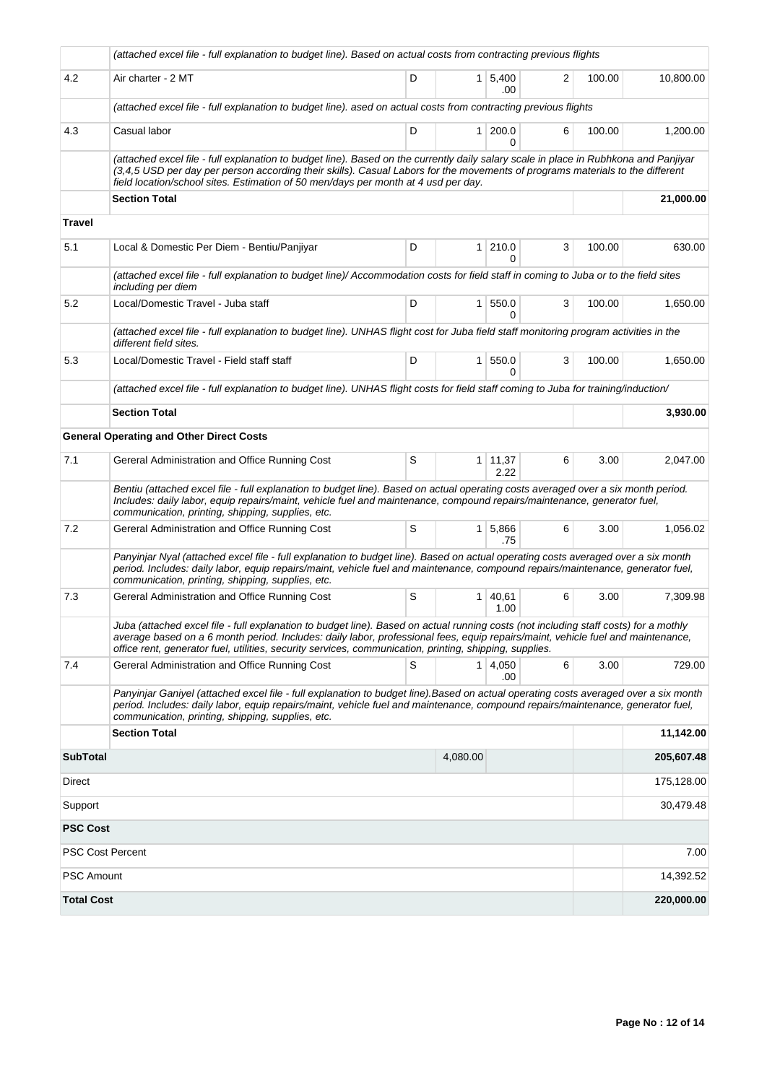|                         | (attached excel file - full explanation to budget line). Based on actual costs from contracting previous flights                                                                                                                                                                                                                                                                   |   |                |                        |   |        |            |
|-------------------------|------------------------------------------------------------------------------------------------------------------------------------------------------------------------------------------------------------------------------------------------------------------------------------------------------------------------------------------------------------------------------------|---|----------------|------------------------|---|--------|------------|
| 4.2                     | Air charter - 2 MT                                                                                                                                                                                                                                                                                                                                                                 | D |                | $1 \mid 5,400$<br>.00. | 2 | 100.00 | 10,800.00  |
|                         | (attached excel file - full explanation to budget line). ased on actual costs from contracting previous flights                                                                                                                                                                                                                                                                    |   |                |                        |   |        |            |
| 4.3                     | Casual labor                                                                                                                                                                                                                                                                                                                                                                       | D | 1 <sup>1</sup> | 200.0<br>0             | 6 | 100.00 | 1,200.00   |
|                         | (attached excel file - full explanation to budget line). Based on the currently daily salary scale in place in Rubhkona and Panjiyar<br>(3,4,5 USD per day per person according their skills). Casual Labors for the movements of programs materials to the different<br>field location/school sites. Estimation of 50 men/days per month at 4 usd per day.                        |   |                |                        |   |        |            |
|                         | <b>Section Total</b>                                                                                                                                                                                                                                                                                                                                                               |   |                |                        |   |        | 21,000.00  |
| <b>Travel</b>           |                                                                                                                                                                                                                                                                                                                                                                                    |   |                |                        |   |        |            |
| 5.1                     | Local & Domestic Per Diem - Bentiu/Panjiyar                                                                                                                                                                                                                                                                                                                                        | D | 1 <sup>1</sup> | 210.0<br>0             | 3 | 100.00 | 630.00     |
|                         | (attached excel file - full explanation to budget line)/ Accommodation costs for field staff in coming to Juba or to the field sites<br>including per diem                                                                                                                                                                                                                         |   |                |                        |   |        |            |
| 5.2                     | Local/Domestic Travel - Juba staff                                                                                                                                                                                                                                                                                                                                                 | D | 1 <sup>1</sup> | 550.0<br>0             | 3 | 100.00 | 1,650.00   |
|                         | (attached excel file - full explanation to budget line). UNHAS flight cost for Juba field staff monitoring program activities in the<br>different field sites.                                                                                                                                                                                                                     |   |                |                        |   |        |            |
| 5.3                     | Local/Domestic Travel - Field staff staff                                                                                                                                                                                                                                                                                                                                          | D | 1 <sup>1</sup> | 550.0<br>0             | 3 | 100.00 | 1,650.00   |
|                         | (attached excel file - full explanation to budget line). UNHAS flight costs for field staff coming to Juba for training/induction/                                                                                                                                                                                                                                                 |   |                |                        |   |        |            |
|                         | <b>Section Total</b>                                                                                                                                                                                                                                                                                                                                                               |   |                |                        |   |        | 3,930.00   |
|                         | <b>General Operating and Other Direct Costs</b>                                                                                                                                                                                                                                                                                                                                    |   |                |                        |   |        |            |
| 7.1                     | Gereral Administration and Office Running Cost                                                                                                                                                                                                                                                                                                                                     | S |                | $1 \mid 11,37$<br>2.22 | 6 | 3.00   | 2,047.00   |
|                         | Bentiu (attached excel file - full explanation to budget line). Based on actual operating costs averaged over a six month period.<br>Includes: daily labor, equip repairs/maint, vehicle fuel and maintenance, compound repairs/maintenance, generator fuel,<br>communication, printing, shipping, supplies, etc.                                                                  |   |                |                        |   |        |            |
| 7.2                     | Gereral Administration and Office Running Cost                                                                                                                                                                                                                                                                                                                                     | S |                | 1 5,866<br>.75         | 6 | 3.00   | 1,056.02   |
|                         | Panyinjar Nyal (attached excel file - full explanation to budget line). Based on actual operating costs averaged over a six month<br>period. Includes: daily labor, equip repairs/maint, vehicle fuel and maintenance, compound repairs/maintenance, generator fuel,<br>communication, printing, shipping, supplies, etc.                                                          |   |                |                        |   |        |            |
| 7.3                     | Gereral Administration and Office Running Cost                                                                                                                                                                                                                                                                                                                                     | S | 1              | 40,61<br>1.00          | 6 | 3.00   | 7,309.98   |
|                         | Juba (attached excel file - full explanation to budget line). Based on actual running costs (not including staff costs) for a mothly<br>average based on a 6 month period. Includes: daily labor, professional fees, equip repairs/maint, vehicle fuel and maintenance,<br>office rent, generator fuel, utilities, security services, communication, printing, shipping, supplies. |   |                |                        |   |        |            |
| 7.4                     | Gereral Administration and Office Running Cost                                                                                                                                                                                                                                                                                                                                     | S |                | 1 4,050<br>.00         | 6 | 3.00   | 729.00     |
|                         | Panyinjar Ganiyel (attached excel file - full explanation to budget line).Based on actual operating costs averaged over a six month<br>period. Includes: daily labor, equip repairs/maint, vehicle fuel and maintenance, compound repairs/maintenance, generator fuel,<br>communication, printing, shipping, supplies, etc.                                                        |   |                |                        |   |        |            |
|                         | <b>Section Total</b>                                                                                                                                                                                                                                                                                                                                                               |   |                |                        |   |        | 11,142.00  |
| <b>SubTotal</b>         |                                                                                                                                                                                                                                                                                                                                                                                    |   | 4,080.00       |                        |   |        | 205,607.48 |
| Direct                  |                                                                                                                                                                                                                                                                                                                                                                                    |   |                |                        |   |        | 175,128.00 |
| Support                 |                                                                                                                                                                                                                                                                                                                                                                                    |   |                |                        |   |        | 30,479.48  |
| <b>PSC Cost</b>         |                                                                                                                                                                                                                                                                                                                                                                                    |   |                |                        |   |        |            |
| <b>PSC Cost Percent</b> |                                                                                                                                                                                                                                                                                                                                                                                    |   |                |                        |   |        | 7.00       |
| <b>PSC Amount</b>       |                                                                                                                                                                                                                                                                                                                                                                                    |   |                |                        |   |        | 14,392.52  |
| <b>Total Cost</b>       |                                                                                                                                                                                                                                                                                                                                                                                    |   |                |                        |   |        | 220,000.00 |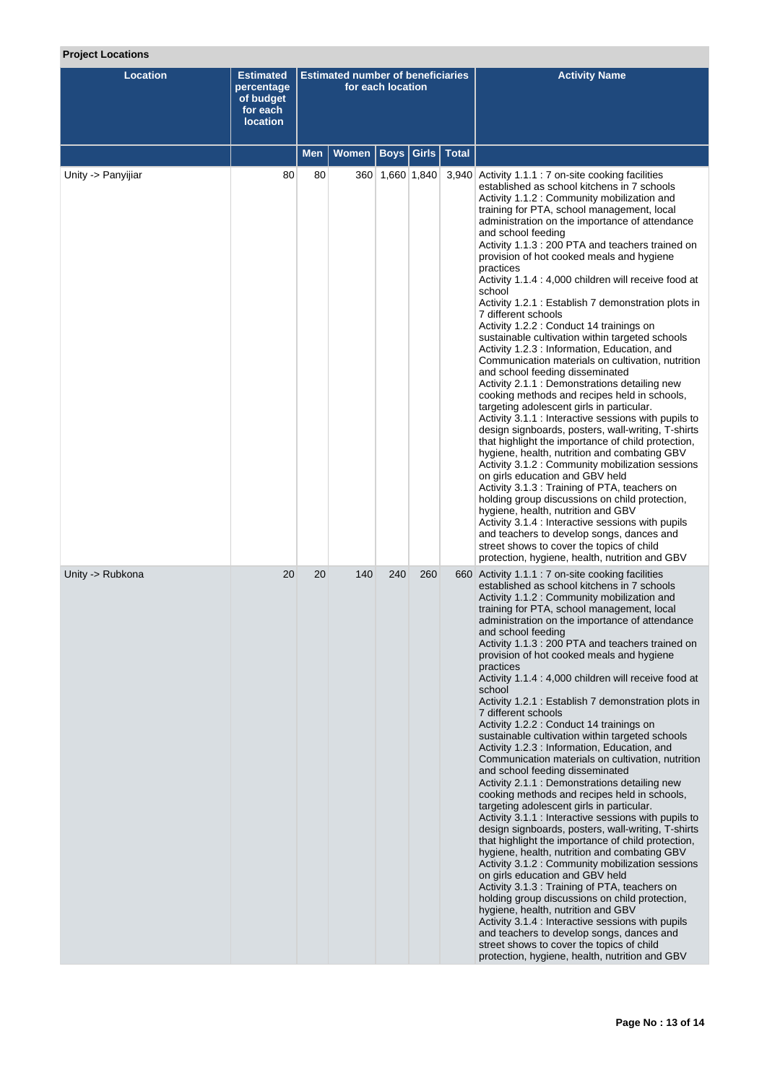# **Project Locations**

| <b>Location</b>    | <b>Estimated</b><br>percentage<br>of budget<br>for each<br><b>location</b> | <b>Estimated number of beneficiaries</b><br>for each location |              |                         |     | <b>Activity Name</b>                                                                                                                                                                                                                                                                                                                                                                                                                                                                                                                                                                                                                                                                                                                                                                                                                                                                                                                                                                                                                                                                                                                                                                                                                                                                                                                                                                                                                                                                                                                                                            |
|--------------------|----------------------------------------------------------------------------|---------------------------------------------------------------|--------------|-------------------------|-----|---------------------------------------------------------------------------------------------------------------------------------------------------------------------------------------------------------------------------------------------------------------------------------------------------------------------------------------------------------------------------------------------------------------------------------------------------------------------------------------------------------------------------------------------------------------------------------------------------------------------------------------------------------------------------------------------------------------------------------------------------------------------------------------------------------------------------------------------------------------------------------------------------------------------------------------------------------------------------------------------------------------------------------------------------------------------------------------------------------------------------------------------------------------------------------------------------------------------------------------------------------------------------------------------------------------------------------------------------------------------------------------------------------------------------------------------------------------------------------------------------------------------------------------------------------------------------------|
|                    |                                                                            | Men                                                           | <b>Women</b> | <b>Boys Girls Total</b> |     |                                                                                                                                                                                                                                                                                                                                                                                                                                                                                                                                                                                                                                                                                                                                                                                                                                                                                                                                                                                                                                                                                                                                                                                                                                                                                                                                                                                                                                                                                                                                                                                 |
| Unity -> Panyijiar | 80                                                                         | 80                                                            |              | 360 1,660 1,840         |     | 3,940 Activity 1.1.1 : 7 on-site cooking facilities<br>established as school kitchens in 7 schools<br>Activity 1.1.2 : Community mobilization and<br>training for PTA, school management, local<br>administration on the importance of attendance<br>and school feeding<br>Activity 1.1.3 : 200 PTA and teachers trained on<br>provision of hot cooked meals and hygiene<br>practices<br>Activity 1.1.4 : 4,000 children will receive food at<br>school<br>Activity 1.2.1 : Establish 7 demonstration plots in<br>7 different schools<br>Activity 1.2.2 : Conduct 14 trainings on<br>sustainable cultivation within targeted schools<br>Activity 1.2.3 : Information, Education, and<br>Communication materials on cultivation, nutrition<br>and school feeding disseminated<br>Activity 2.1.1 : Demonstrations detailing new<br>cooking methods and recipes held in schools,<br>targeting adolescent girls in particular.<br>Activity 3.1.1 : Interactive sessions with pupils to<br>design signboards, posters, wall-writing, T-shirts<br>that highlight the importance of child protection,<br>hygiene, health, nutrition and combating GBV<br>Activity 3.1.2 : Community mobilization sessions<br>on girls education and GBV held<br>Activity 3.1.3 : Training of PTA, teachers on<br>holding group discussions on child protection,<br>hygiene, health, nutrition and GBV<br>Activity 3.1.4 : Interactive sessions with pupils<br>and teachers to develop songs, dances and<br>street shows to cover the topics of child<br>protection, hygiene, health, nutrition and GBV |
| Unity -> Rubkona   | 20                                                                         | 20                                                            | 140          | 240                     | 260 | 660 Activity 1.1.1 : 7 on-site cooking facilities<br>established as school kitchens in 7 schools<br>Activity 1.1.2 : Community mobilization and<br>training for PTA, school management, local<br>administration on the importance of attendance<br>and school feeding<br>Activity 1.1.3 : 200 PTA and teachers trained on<br>provision of hot cooked meals and hygiene<br>practices<br>Activity 1.1.4 : 4,000 children will receive food at<br>school<br>Activity 1.2.1 : Establish 7 demonstration plots in<br>7 different schools<br>Activity 1.2.2 : Conduct 14 trainings on<br>sustainable cultivation within targeted schools<br>Activity 1.2.3 : Information, Education, and<br>Communication materials on cultivation, nutrition<br>and school feeding disseminated<br>Activity 2.1.1 : Demonstrations detailing new<br>cooking methods and recipes held in schools,<br>targeting adolescent girls in particular.<br>Activity 3.1.1 : Interactive sessions with pupils to<br>design signboards, posters, wall-writing, T-shirts<br>that highlight the importance of child protection,<br>hygiene, health, nutrition and combating GBV<br>Activity 3.1.2 : Community mobilization sessions<br>on girls education and GBV held<br>Activity 3.1.3 : Training of PTA, teachers on<br>holding group discussions on child protection,<br>hygiene, health, nutrition and GBV<br>Activity 3.1.4 : Interactive sessions with pupils<br>and teachers to develop songs, dances and<br>street shows to cover the topics of child<br>protection, hygiene, health, nutrition and GBV   |